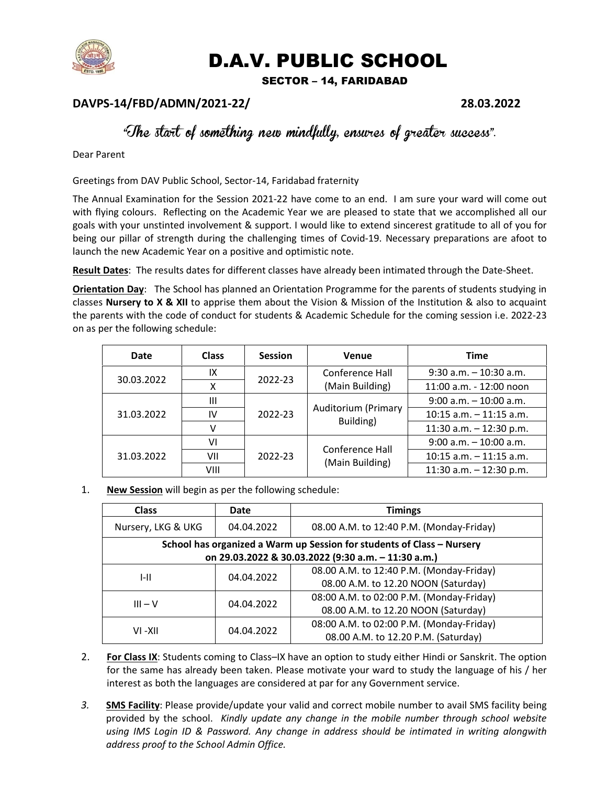

## D.A.V. PUBLIC SCHOOL

SECTOR – 14, FARIDABAD

## DAVPS-14/FBD/ADMN/2021-22/ 28.03.2022

## "The start of something new mindfully, ensures of greater success".

Dear Parent

Greetings from DAV Public School, Sector-14, Faridabad fraternity

The Annual Examination for the Session 2021-22 have come to an end. I am sure your ward will come out with flying colours. Reflecting on the Academic Year we are pleased to state that we accomplished all our goals with your unstinted involvement & support. I would like to extend sincerest gratitude to all of you for being our pillar of strength during the challenging times of Covid-19. Necessary preparations are afoot to launch the new Academic Year on a positive and optimistic note.

Result Dates: The results dates for different classes have already been intimated through the Date-Sheet.

**Orientation Day**: The School has planned an Orientation Programme for the parents of students studying in classes **Nursery to X & XII** to apprise them about the Vision & Mission of the Institution & also to acquaint the parents with the code of conduct for students & Academic Schedule for the coming session i.e. 2022-23 on as per the following schedule:

| Date       | <b>Class</b>   | <b>Session</b> | <b>Venue</b>                       | <b>Time</b>                |
|------------|----------------|----------------|------------------------------------|----------------------------|
| 30.03.2022 | IX             | 2022-23        | Conference Hall<br>(Main Building) | $9:30$ a.m. $-10:30$ a.m.  |
|            |                |                |                                    | 11:00 a.m. - 12:00 noon    |
| 31.03.2022 | $\mathbf{III}$ | 2022-23        | Auditorium (Primary<br>Building)   | $9:00$ a.m. $-10:00$ a.m.  |
|            | IV             |                |                                    | $10:15$ a.m. $-11:15$ a.m. |
|            |                |                |                                    | 11:30 a.m. $-$ 12:30 p.m.  |
| 31.03.2022 | ٧I             | 2022-23        | Conference Hall<br>(Main Building) | $9:00$ a.m. $-10:00$ a.m.  |
|            | VII            |                |                                    | $10:15$ a.m. $-11:15$ a.m. |
|            | VIII           |                |                                    | 11:30 a.m. $-$ 12:30 p.m.  |

1. New Session will begin as per the following schedule:

| <b>Class</b>                                                           | Date       | <b>Timings</b>                           |  |  |  |  |
|------------------------------------------------------------------------|------------|------------------------------------------|--|--|--|--|
| Nursery, LKG & UKG                                                     | 04.04.2022 | 08.00 A.M. to 12:40 P.M. (Monday-Friday) |  |  |  |  |
| School has organized a Warm up Session for students of Class - Nursery |            |                                          |  |  |  |  |
| on 29.03.2022 & 30.03.2022 (9:30 a.m. - 11:30 a.m.)                    |            |                                          |  |  |  |  |
| I-II                                                                   | 04.04.2022 | 08.00 A.M. to 12:40 P.M. (Monday-Friday) |  |  |  |  |
|                                                                        |            | 08.00 A.M. to 12.20 NOON (Saturday)      |  |  |  |  |
| $III - V$                                                              | 04.04.2022 | 08:00 A.M. to 02:00 P.M. (Monday-Friday) |  |  |  |  |
|                                                                        |            | 08.00 A.M. to 12.20 NOON (Saturday)      |  |  |  |  |
| VI -XII                                                                | 04.04.2022 | 08:00 A.M. to 02:00 P.M. (Monday-Friday) |  |  |  |  |
|                                                                        |            | 08.00 A.M. to 12.20 P.M. (Saturday)      |  |  |  |  |

- 2. For Class IX: Students coming to Class–IX have an option to study either Hindi or Sanskrit. The option for the same has already been taken. Please motivate your ward to study the language of his / her interest as both the languages are considered at par for any Government service.
- 3. SMS Facility: Please provide/update your valid and correct mobile number to avail SMS facility being provided by the school. Kindly update any change in the mobile number through school website using IMS Login ID & Password. Any change in address should be intimated in writing alongwith address proof to the School Admin Office.